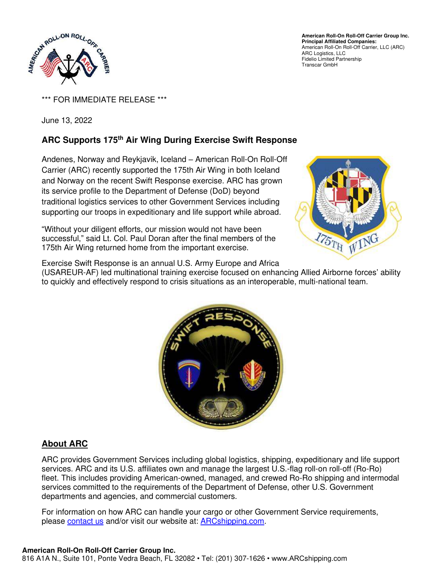

**American Roll-On Roll-Off Carrier Group Inc. Principal Affiliated Companies:**  American Roll-On Roll-Off Carrier, LLC (ARC) ARC Logistics, LLC Fidelio Limited Partnership Transcar GmbH

\*\*\* FOR IMMEDIATE RELEASE \*\*\*

June 13, 2022

## **ARC Supports 175th Air Wing During Exercise Swift Response**

Andenes, Norway and Reykjavik, Iceland – American Roll-On Roll-Off Carrier (ARC) recently supported the 175th Air Wing in both Iceland and Norway on the recent Swift Response exercise. ARC has grown its service profile to the Department of Defense (DoD) beyond traditional logistics services to other Government Services including supporting our troops in expeditionary and life support while abroad.

"Without your diligent efforts, our mission would not have been successful," said Lt. Col. Paul Doran after the final members of the 175th Air Wing returned home from the important exercise.



Exercise Swift Response is an annual U.S. Army Europe and Africa (USAREUR-AF) led multinational training exercise focused on enhancing Allied Airborne forces' ability to quickly and effectively respond to crisis situations as an interoperable, multi-national team.



## **About ARC**

ARC provides Government Services including global logistics, shipping, expeditionary and life support services. ARC and its U.S. affiliates own and manage the largest U.S.-flag roll-on roll-off (Ro-Ro) fleet. This includes providing American-owned, managed, and crewed Ro-Ro shipping and intermodal services committed to the requirements of the Department of Defense, other U.S. Government departments and agencies, and commercial customers.

For information on how ARC can handle your cargo or other Government Service requirements, please [contact us](https://www.arcshipping.com/contact-us/) and/or visit our website at: [ARCshipping.com.](http://www.arcshipping.com/)

## **American Roll-On Roll-Off Carrier Group Inc.**

816 A1A N., Suite 101, Ponte Vedra Beach, FL 32082 • Tel: (201) 307-1626 • www.ARCshipping.com